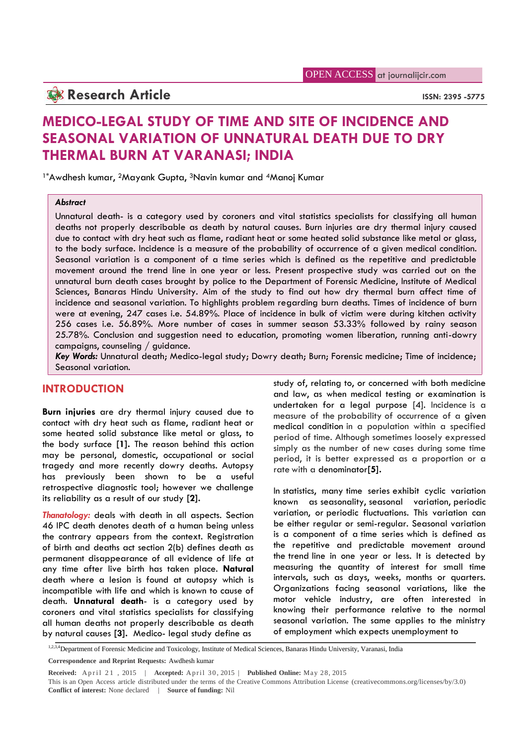## **Research Article ISSN:** 2395 -5775

# **MEDICO-LEGAL STUDY OF TIME AND SITE OF INCIDENCE AND SEASONAL VARIATION OF UNNATURAL DEATH DUE TO DRY THERMAL BURN AT VARANASI; INDIA**

1\*Awdhesh kumar, <sup>2</sup>Mayank Gupta, <sup>3</sup>Navin kumar and <sup>4</sup>Manoj Kumar

#### *Abstract*

Unnatural death- is a category used by coroners and vital statistics specialists for classifying all human deaths not properly describable as death by natural causes. Burn injuries are dry thermal injury caused due to contact with dry heat such as flame, radiant heat or some heated solid substance like metal or glass, to the body surface. Incidence is a measure of the probability of occurrence of a given medical condition. Seasonal variation is a component of a time series which is defined as the repetitive and predictable movement around the trend line in one year or less. Present prospective study was carried out on the unnatural burn death cases brought by police to the Department of Forensic Medicine, Institute of Medical Sciences, Banaras Hindu University. Aim of the study to find out how dry thermal burn affect time of incidence and seasonal variation. To highlights problem regarding burn deaths. Times of incidence of burn were at evening, 247 cases i.e. 54.89%. Place of incidence in bulk of victim were during kitchen activity 256 cases i.e. 56.89%. More number of cases in summer season 53.33% followed by rainy season 25.78%. Conclusion and suggestion need to education, promoting women liberation, running anti-dowry campaigns, counseling / guidance.

*Key Words:* Unnatural death; Medico-legal study; Dowry death; Burn; Forensic medicine; Time of incidence; Seasonal variation.

## **INTRODUCTION**

**Burn injuries** are dry thermal injury caused due to contact with dry heat such as flame, radiant heat or some heated solid substance like metal or glass, to the body surface **[1].**The reason behind this action may be personal, domestic, occupational or social tragedy and more recently dowry deaths. Autopsy has previously been shown to be a useful retrospective diagnostic tool; however we challenge its reliability as a result of our study **[2].**

*Thanatology:* deals with death in all aspects. Section 46 IPC death denotes death of a human being unless the contrary appears from the context. Registration of birth and deaths act section 2(b) defines death as permanent disappearance of all evidence of life at any time after live birth has taken place. **Natural** death where a lesion is found at autopsy which is incompatible with life and which is known to cause of death. **Unnatural death**- is a category used by coroners and vital statistics specialists for classifying all human deaths not properly describable as death by natural causes **[3].** Medico- legal study define as

study of, relating to, or concerned with both medicine and law, as when medical testing or examination is undertaken for a legal purpose [4]. Incidence is a measure of the probability of occurrence of a given medical condition in a population within a specified period of time. Although sometimes loosely expressed simply as the number of new cases during some time period, it is better expressed as a proportion or a rate with a denominator**[5].**

In statistics, many time series exhibit cyclic variation known as seasonality, seasonal variation, periodic variation, or periodic fluctuations. This variation can be either regular or semi-regular. Seasonal variation is a component of a time series which is defined as the repetitive and predictable movement around the trend line in one year or less. It is detected by measuring the quantity of interest for small time intervals, such as days, weeks, months or quarters. Organizations facing seasonal variations, like the motor vehicle industry, are often interested in knowing their performance relative to the normal seasonal variation. The same applies to the ministry of employment which expects unemployment to

<sup>1,2,3,4</sup>Department of Forensic Medicine and Toxicology, Institute of Medical Sciences, Banaras Hindu University, Varanasi, India

**Correspondence and Reprint Requests:** Awdhesh kumar

**Received:** A pril 21, 2015 | **Accepted:** A pril 30, 2015 | **Published Online:** May 28, 2015 This is an Open Access article distributed under the terms of the Creative Commons Attribution License (creative distributed unde This is an Open Access article distributed under the terms of the Creative Commons Attribution License (creativecommons.org/licenses/by/3.0) **Conflict of interest:** None declared | **Source of funding:** Nil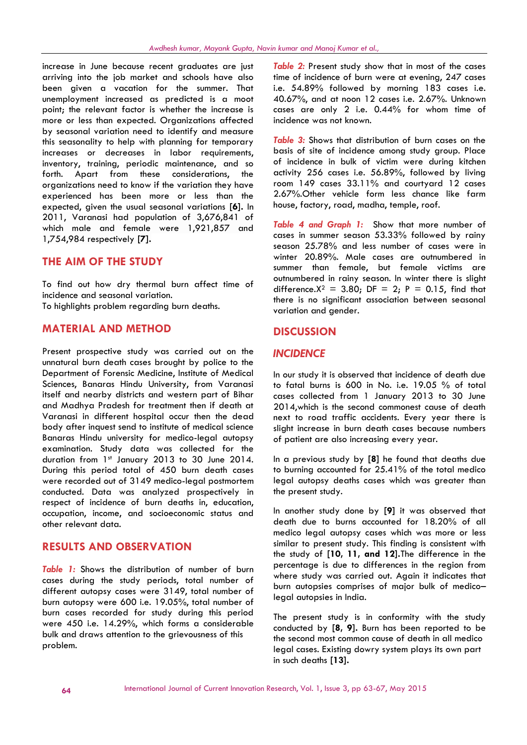increase in June because recent graduates are just arriving into the job market and schools have also been given a vacation for the summer. That unemployment increased as predicted is a moot point; the relevant factor is whether the increase is more or less than expected. Organizations affected by seasonal variation need to identify and measure this seasonality to help with planning for temporary increases or decreases in labor requirements, inventory, training, periodic maintenance, and so forth. Apart from these considerations, the organizations need to know if the variation they have experienced has been more or less than the expected, given the usual seasonal variations **[6].** In 2011, Varanasi had population of 3,676,841 of which male and female were 1,921,857 and 1,754,984 respectively **[7].**

#### **THE AIM OF THE STUDY**

To find out how dry thermal burn affect time of incidence and seasonal variation.

To highlights problem regarding burn deaths.

#### **MATERIAL AND METHOD**

Present prospective study was carried out on the unnatural burn death cases brought by police to the Department of Forensic Medicine, Institute of Medical Sciences, Banaras Hindu University, from Varanasi itself and nearby districts and western part of Bihar and Madhya Pradesh for treatment then if death at Varanasi in different hospital occur then the dead body after inquest send to institute of medical science Banaras Hindu university for medico-legal autopsy examination. Study data was collected for the duration from 1st January 2013 to 30 June 2014. During this period total of 450 burn death cases were recorded out of 3149 medico-legal postmortem conducted. Data was analyzed prospectively in respect of incidence of burn deaths in, education, occupation, income, and socioeconomic status and other relevant data.

#### **RESULTS AND OBSERVATION**

*Table 1:* Shows the distribution of number of burn cases during the study periods, total number of different autopsy cases were 3149, total number of burn autopsy were 600 i.e. 19.05%, total number of burn cases recorded for study during this period were 450 i.e. 14.29%, which forms a considerable bulk and draws attention to the grievousness of this problem.

**Table 2:** Present study show that in most of the cases time of incidence of burn were at evening, 247 cases i.e. 54.89% followed by morning 183 cases i.e. 40.67%, and at noon 12 cases i.e. 2.67%. Unknown cases are only 2 i.e. 0.44% for whom time of incidence was not known.

*Table 3:* Shows that distribution of burn cases on the basis of site of incidence among study group. Place of incidence in bulk of victim were during kitchen activity 256 cases i.e. 56.89%, followed by living room 149 cases 33.11% and courtyard 12 cases 2.67%.Other vehicle form less chance like farm house, factory, road, madha, temple, roof.

*Table 4 and Graph 1:* Show that more number of cases in summer season 53.33% followed by rainy season 25.78% and less number of cases were in winter 20.89%. Male cases are outnumbered in summer than female, but female victims are outnumbered in rainy season. In winter there is slight difference. $X^2 = 3.80$ ; DF = 2; P = 0.15, find that there is no significant association between seasonal variation and gender.

#### **DISCUSSION**

#### *INCIDENCE*

In our study it is observed that incidence of death due to fatal burns is 600 in No. i.e. 19.05 % of total cases collected from 1 January 2013 to 30 June 2014,which is the second commonest cause of death next to road traffic accidents. Every year there is slight increase in burn death cases because numbers of patient are also increasing every year.

In a previous study by **[8]** he found that deaths due to burning accounted for 25.41% of the total medico legal autopsy deaths cases which was greater than the present study.

In another study done by **[9]** it was observed that death due to burns accounted for 18.20% of all medico legal autopsy cases which was more or less similar to present study. This finding is consistent with the study of **[10, 11, and 12].**The difference in the percentage is due to differences in the region from where study was carried out. Again it indicates that burn autopsies comprises of major bulk of medico– legal autopsies in India.

The present study is in conformity with the study conducted by **[8, 9].** Burn has been reported to be the second most common cause of death in all medico legal cases. Existing dowry system plays its own part in such deaths **[13].**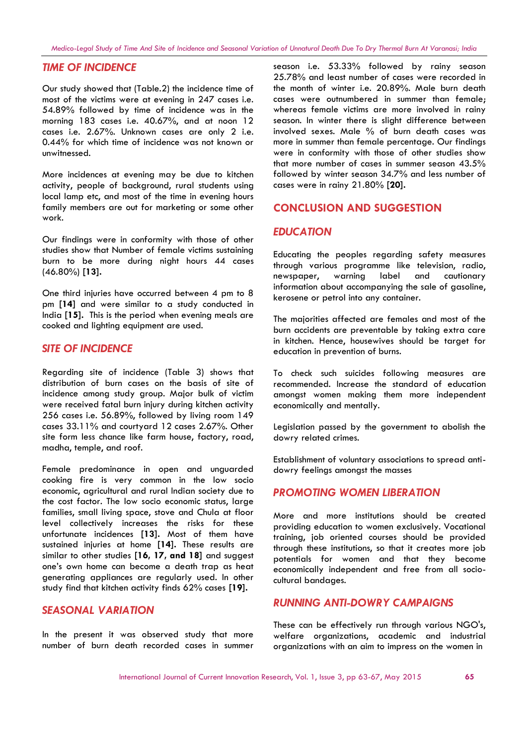#### *TIME OF INCIDENCE*

Our study showed that (Table.2) the incidence time of most of the victims were at evening in 247 cases i.e. 54.89% followed by time of incidence was in the morning 183 cases i.e. 40.67%, and at noon 12 cases i.e. 2.67%. Unknown cases are only 2 i.e. 0.44% for which time of incidence was not known or unwitnessed.

More incidences at evening may be due to kitchen activity, people of background, rural students using local lamp etc, and most of the time in evening hours family members are out for marketing or some other work.

Our findings were in conformity with those of other studies show that Number of female victims sustaining burn to be more during night hours 44 cases (46.80%) **[13].**

One third injuries have occurred between 4 pm to 8 pm **[14]** and were similar to a study conducted in India **[15].**This is the period when evening meals are cooked and lighting equipment are used.

#### *SITE OF INCIDENCE*

Regarding site of incidence (Table 3) shows that distribution of burn cases on the basis of site of incidence among study group. Major bulk of victim were received fatal burn injury during kitchen activity 256 cases i.e. 56.89%, followed by living room 149 cases 33.11% and courtyard 12 cases 2.67%. Other site form less chance like farm house, factory, road, madha, temple, and roof.

Female predominance in open and unguarded cooking fire is very common in the low socio economic, agricultural and rural Indian society due to the cost factor. The low socio economic status, large families, small living space, stove and Chula at floor level collectively increases the risks for these unfortunate incidences **[13].** Most of them have sustained injuries at home **[14].** These results are similar to other studies **[16, 17, and 18]** and suggest one's own home can become a death trap as heat generating appliances are regularly used. In other study find that kitchen activity finds 62% cases **[19].**

#### *SEASONAL VARIATION*

In the present it was observed study that more number of burn death recorded cases in summer

season i.e. 53.33% followed by rainy season 25.78% and least number of cases were recorded in the month of winter i.e. 20.89%. Male burn death cases were outnumbered in summer than female; whereas female victims are more involved in rainy season. In winter there is slight difference between involved sexes. Male % of burn death cases was more in summer than female percentage. Our findings were in conformity with those of other studies show that more number of cases in summer season 43.5% followed by winter season 34.7% and less number of cases were in rainy 21.80% **[20].**

#### **CONCLUSION AND SUGGESTION**

#### *EDUCATION*

Educating the peoples regarding safety measures through various programme like television, radio, newspaper, warning label and cautionary information about accompanying the sale of gasoline, kerosene or petrol into any container.

The majorities affected are females and most of the burn accidents are preventable by taking extra care in kitchen. Hence, housewives should be target for education in prevention of burns.

To check such suicides following measures are recommended. Increase the standard of education amongst women making them more independent economically and mentally.

Legislation passed by the government to abolish the dowry related crimes.

Establishment of voluntary associations to spread anti dowry feelings amongst the masses

#### *PROMOTING WOMEN LIBERATION*

More and more institutions should be created providing education to women exclusively. Vocational training, job oriented courses should be provided through these institutions, so that it creates more job potentials for women and that they become economically independent and free from all socio cultural bandages.

## *RUNNING ANTI-DOWRY CAMPAIGNS*

These can be effectively run through various NGO's, welfare organizations, academic and industrial organizations with an aim to impress on the women in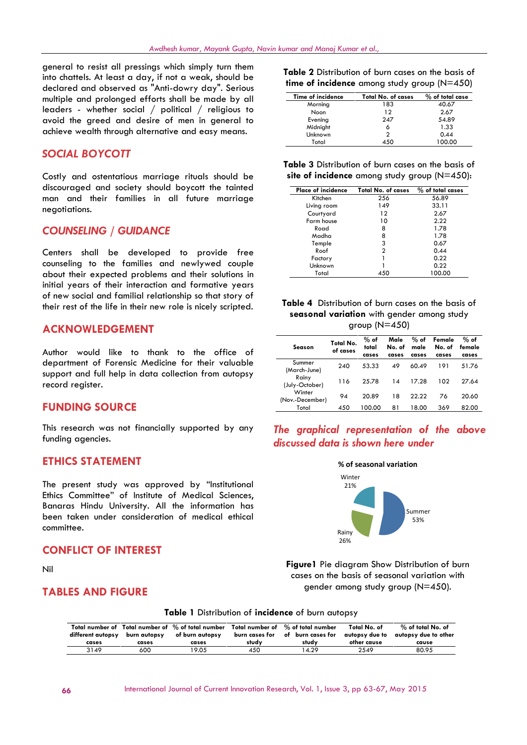general to resist all pressings which simply turn them into chattels. At least a day, if not a weak, should be declared and observed as "Anti-dowry day". Serious multiple and prolonged efforts shall be made by all leaders - whether social / political / religious to avoid the greed and desire of men in general to achieve wealth through alternative and easy means.

#### *SOCIAL BOYCOTT*

Costly and ostentatious marriage rituals should be discouraged and society should boycott the tainted man and their families in all future marriage negotiations.

#### *COUNSELING / GUIDANCE*

Centers shall be developed to provide free counseling to the families and newlywed couple about their expected problems and their solutions in initial years of their interaction and formative years of new social and familial relationship so that story of their rest of the life in their new role is nicely scripted.

### **ACKNOWLEDGEMENT**

Author would like to thank to the office of department of Forensic Medicine for their valuable support and full help in data collection from autopsy record register.

#### **FUNDING SOURCE**

This research was not financially supported by any funding agencies.

#### **ETHICS STATEMENT**

The present study was approved by "Institutional Ethics Committee" of Institute of Medical Sciences, Banaras Hindu University. All the information has been taken under consideration of medical ethical committee.

### **CONFLICT OF INTEREST**

#### Nil

#### **TABLES AND FIGURE**

**Table 2** Distribution of burn cases on the basis of **time of incidence** among study group (N=450)

| Time of incidence | Total No. of cases | % of total case |  |
|-------------------|--------------------|-----------------|--|
| Morning           | 183                | 40.67           |  |
| Noon              | 12                 | 2.67            |  |
| Evening           | 247                | 54.89           |  |
| Midnight          | 6                  | 1.33            |  |
| Unknown           | 2                  | 0.44            |  |
| Total             | 450                | 100.00          |  |

**Table 3** Distribution of burn cases on the basis of **site of incidence** among study group (N=450):

| <b>Place of incidence</b> | Total No. of cases | % of total cases |  |
|---------------------------|--------------------|------------------|--|
| Kitchen                   | 256                | 56.89            |  |
| Living room               | 149                | 33.11            |  |
| Courtyard                 | 12                 | 2.67             |  |
| Farm house                | 10                 | 2.22             |  |
| Road                      | 8                  | 1.78             |  |
| Madha                     | 8                  | 1.78             |  |
| Temple                    | 3                  | 0.67             |  |
| Roof                      | 2                  | 0.44             |  |
| Factory                   |                    | 0.22             |  |
| Unknown                   |                    | 0.22             |  |
| Total                     | 450                | 100.00           |  |

| <b>Table 4</b> Distribution of burn cases on the basis of |
|-----------------------------------------------------------|
| seasonal variation with gender among study                |
| group (N=450)                                             |

| Season                    | Total No.<br>of cases | $%$ of<br>total<br>cases | Male<br>No. of<br>cases | $%$ of<br>male<br>cases | Female<br>No. of<br>cases | $%$ of<br>female<br>cases |
|---------------------------|-----------------------|--------------------------|-------------------------|-------------------------|---------------------------|---------------------------|
| Summer<br>(March-June)    | 240                   | 53.33                    | 49                      | 60.49                   | 191                       | 51.76                     |
| Rainy<br>(July-October)   | 116                   | 25.78                    | 14                      | 17.28                   | 102                       | 27.64                     |
| Winter<br>(Nov.-December) | 94                    | 20.89                    | 18                      | 22.22                   | 76                        | 20.60                     |
| Total                     | 450                   | 100.00                   | 81                      | 18.00                   | 369                       | 82.00                     |

## *The graphical representation of the above discussed data is shown here under*



**Figure1** Pie diagram Show Distribution of burn cases on the basis of seasonal variation with gender among study group (N=450).

|  | Table 1 Distribution of incidence of burn autopsy |  |  |
|--|---------------------------------------------------|--|--|
|--|---------------------------------------------------|--|--|

| different autopsy | burn autopsy | Total number of Total number of % of total number<br>of burn autopsy | burn cases for | Total number of $\%$ of total number<br>of burn cases for | Total No. of<br>autopsy due to | $%$ of total No. of<br>autopsy due to other |
|-------------------|--------------|----------------------------------------------------------------------|----------------|-----------------------------------------------------------|--------------------------------|---------------------------------------------|
| cases             | cases        | cases                                                                | studv          | studv                                                     | other cause                    | cause                                       |
| 3149              | 600          | 19.05                                                                | 450            | 4.29                                                      | 2549                           | 80.95                                       |